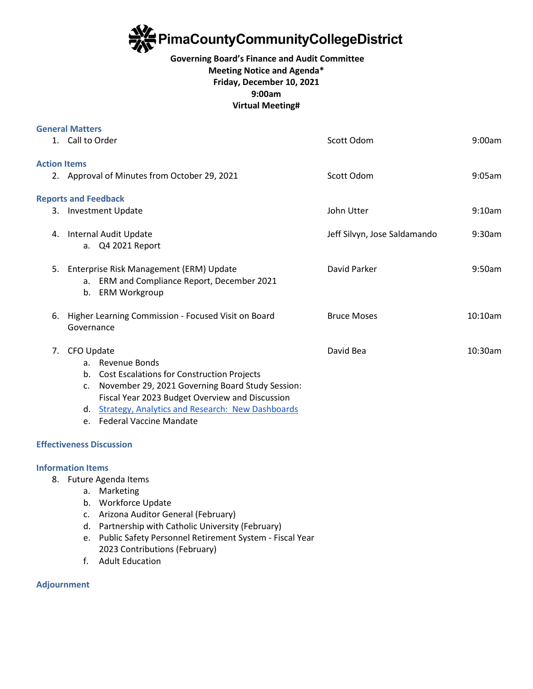

## **Governing Board's Finance and Audit Committee Meeting Notice and Agenda\* Friday, December 10, 2021 9:00am Virtual Meeting#**

| <b>General Matters</b> |                                                        |                                                                                                     |                              |         |
|------------------------|--------------------------------------------------------|-----------------------------------------------------------------------------------------------------|------------------------------|---------|
|                        | 1. Call to Order                                       |                                                                                                     | Scott Odom                   | 9:00am  |
| <b>Action Items</b>    |                                                        |                                                                                                     |                              |         |
|                        |                                                        | 2. Approval of Minutes from October 29, 2021                                                        | Scott Odom                   | 9:05am  |
|                        |                                                        | <b>Reports and Feedback</b>                                                                         |                              |         |
|                        |                                                        | 3. Investment Update                                                                                | John Utter                   | 9:10am  |
|                        |                                                        | 4. Internal Audit Update                                                                            | Jeff Silvyn, Jose Saldamando | 9:30am  |
|                        |                                                        | a. Q4 2021 Report                                                                                   |                              |         |
| 5.                     |                                                        | Enterprise Risk Management (ERM) Update                                                             | David Parker                 | 9:50am  |
|                        | b.                                                     | a. ERM and Compliance Report, December 2021<br><b>ERM Workgroup</b>                                 |                              |         |
|                        | 6. Higher Learning Commission - Focused Visit on Board |                                                                                                     | <b>Bruce Moses</b>           | 10:10am |
|                        | Governance                                             |                                                                                                     |                              |         |
| 7.                     | CFO Update                                             |                                                                                                     | David Bea                    | 10:30am |
|                        |                                                        | a. Revenue Bonds                                                                                    |                              |         |
|                        | b.                                                     | <b>Cost Escalations for Construction Projects</b>                                                   |                              |         |
|                        | $C_{\star}$                                            | November 29, 2021 Governing Board Study Session:<br>Fiscal Year 2023 Budget Overview and Discussion |                              |         |
|                        | d.                                                     | <b>Strategy, Analytics and Research: New Dashboards</b>                                             |                              |         |
|                        | $e_{1}$                                                | <b>Federal Vaccine Mandate</b>                                                                      |                              |         |
|                        |                                                        |                                                                                                     |                              |         |

# **Effectiveness Discussion**

### **Information Items**

- 8. Future Agenda Items
	- a. Marketing
	- b. Workforce Update
	- c. Arizona Auditor General (February)
	- d. Partnership with Catholic University (February)
	- e. Public Safety Personnel Retirement System Fiscal Year 2023 Contributions (February)
	- f. Adult Education

### **Adjournment**